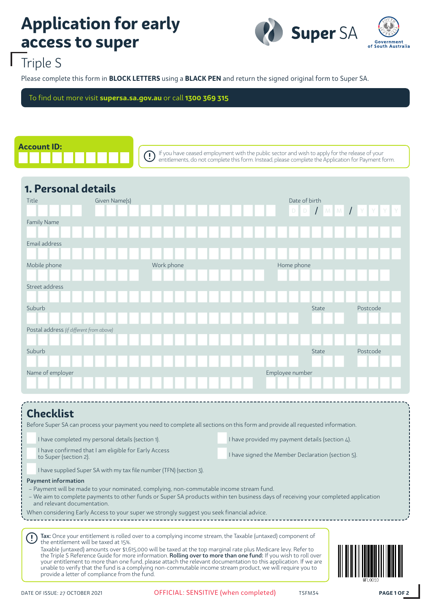# **Application for early access to super**



## Triple S

Please complete this form in **BLOCK LETTERS** using a **BLACK PEN** and return the signed original form to Super SA.

To find out more visit **supersa.sa.gov.au** or call **1300 369 315**

 $(\mathsf{I})$ 



If you have ceased employment with the public sector and wish to apply for the release of your entitlements, do not complete this form. Instead, please complete the Application for Payment form.

| Title                                    | Given Name(s) |            | Date of birth   |              |                     |
|------------------------------------------|---------------|------------|-----------------|--------------|---------------------|
|                                          |               |            |                 |              | D D / M M / Y Y Y Y |
| Family Name                              |               |            |                 |              |                     |
|                                          |               |            |                 |              |                     |
| Email address                            |               |            |                 |              |                     |
|                                          |               |            |                 |              |                     |
| Mobile phone                             |               | Work phone | Home phone      |              |                     |
|                                          |               |            |                 |              |                     |
| Street address                           |               |            |                 |              |                     |
|                                          |               |            |                 |              |                     |
| Suburb                                   |               |            |                 | <b>State</b> | Postcode            |
|                                          |               |            |                 |              |                     |
| Postal address (if different from above) |               |            |                 |              |                     |
|                                          |               |            |                 |              |                     |
| Suburb                                   |               |            |                 | <b>State</b> | Postcode            |
|                                          |               |            |                 |              |                     |
| Name of employer                         |               |            | Employee number |              |                     |
|                                          |               |            |                 |              |                     |

### **Checklist**

Before Super SA can process your payment you need to complete all sections on this form and provide all requested information.

| I have completed my personal details (section 1).                             | I have provided my payment details (section 4).   |
|-------------------------------------------------------------------------------|---------------------------------------------------|
| I have confirmed that I am eligible for Early Access<br>to Super (section 2). | I have signed the Member Declaration (section 5). |

I have supplied Super SA with my tax file number (TFN) (section 3).

#### Payment information

- Payment will be made to your nominated, complying, non-commutable income stream fund.
- We aim to complete payments to other funds or Super SA products within ten business days of receiving your completed application and relevant documentation.

When considering Early Access to your super we strongly suggest you seek financial advice.

Tax: Once your entitlement is rolled over to a complying income stream, the Taxable (untaxed) component of the entitlement will be taxed at 15%. Taxable (untaxed) amounts over \$1,615,000 will be taxed at the top marginal rate plus Medicare levy. Refer to

the Triple S Reference Guide for more information. Rolling over to more than one fund: If you wish to roll over your entitlement to more than one fund, please attach the relevant documentation to this application. If we are unable to verify that the fund is a complying non-commutable income stream product, we will require you to provide a letter of compliance from the fund.